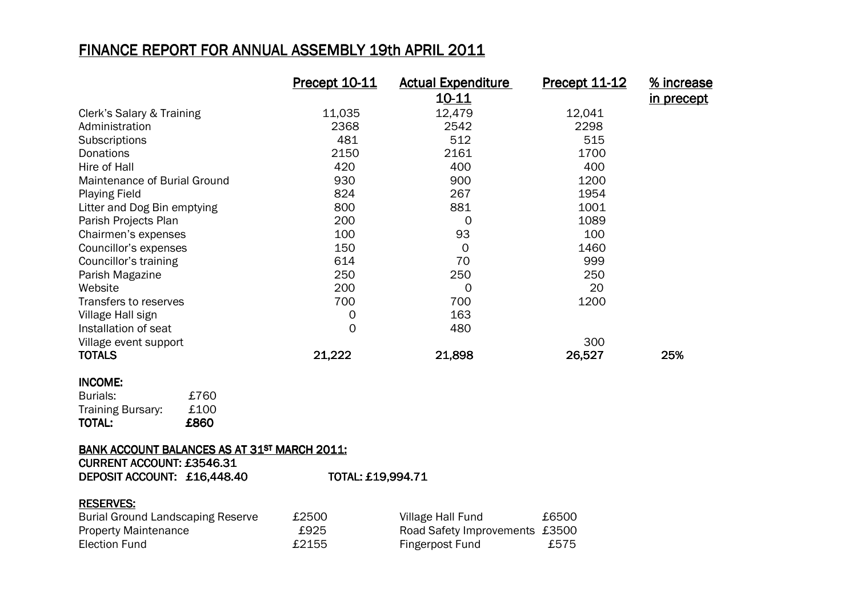### FINANCE REPORT FOR ANNUAL ASSEMBLY 19th APRIL 2011

|                              | Precept 10-11 | <b>Actual Expenditure</b> | Precept 11-12 | % increase        |
|------------------------------|---------------|---------------------------|---------------|-------------------|
|                              |               | 10-11                     |               | <u>in precept</u> |
| Clerk's Salary & Training    | 11,035        | 12,479                    | 12,041        |                   |
| Administration               | 2368          | 2542                      | 2298          |                   |
| Subscriptions                | 481           | 512                       | 515           |                   |
| Donations                    | 2150          | 2161                      | 1700          |                   |
| Hire of Hall                 | 420           | 400                       | 400           |                   |
| Maintenance of Burial Ground | 930           | 900                       | 1200          |                   |
| <b>Playing Field</b>         | 824           | 267                       | 1954          |                   |
| Litter and Dog Bin emptying  | 800           | 881                       | 1001          |                   |
| Parish Projects Plan         | 200           | 0                         | 1089          |                   |
| Chairmen's expenses          | 100           | 93                        | 100           |                   |
| Councillor's expenses        | 150           | 0                         | 1460          |                   |
| Councillor's training        | 614           | 70                        | 999           |                   |
| Parish Magazine              | 250           | 250                       | 250           |                   |
| Website                      | 200           | 0                         | 20            |                   |
| Transfers to reserves        | 700           | 700                       | 1200          |                   |
| Village Hall sign            | 0             | 163                       |               |                   |
| Installation of seat         | 0             | 480                       |               |                   |
| Village event support        |               |                           | 300           |                   |
| <b>TOTALS</b>                | 21,222        | 21,898                    | 26,527        | 25%               |

#### INCOME: INCOME:

| <b>TOTAL:</b>            | £860 |
|--------------------------|------|
| <b>Training Bursary:</b> | £100 |
| Burials:                 | £760 |

## BANK ACCOUNT BALANCES AS AT 31<sup>st</sup> MARCH 2011:<br>CURRENT 1999UNT - 895 69.4

| <b>CURRENT ACCOUNT: £3546.31</b> |                   |
|----------------------------------|-------------------|
| DEPOSIT ACCOUNT: £16,448.40      | TOTAL: £19,994.71 |

#### RESERVES:

| <b>Burial Ground Landscaping Reserve</b> | £2500 | Village Hall Fund              | £6500 |
|------------------------------------------|-------|--------------------------------|-------|
| <b>Property Maintenance</b>              | £925  | Road Safety Improvements £3500 |       |
| Election Fund                            | £2155 | Fingerpost Fund                | £575  |